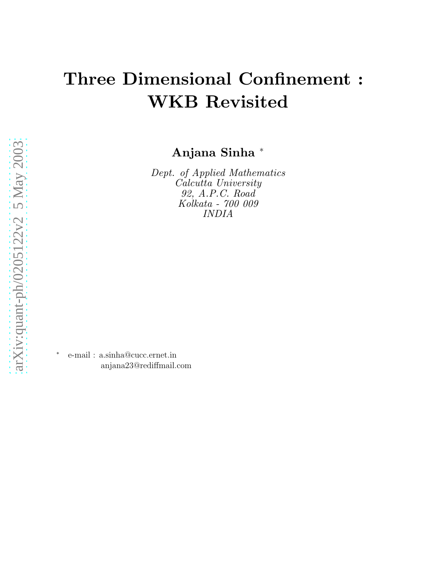# Three Dimensional Confinement : WKB Revisited

Anjana Sinha <sup>∗</sup>

Dept. of Applied Mathematics Calcutta University 92, A.P.C. Road Kolkata - 700 009 INDIA

∗ e-mail : a.sinha@cucc.ernet.in anjana23@rediffmail.com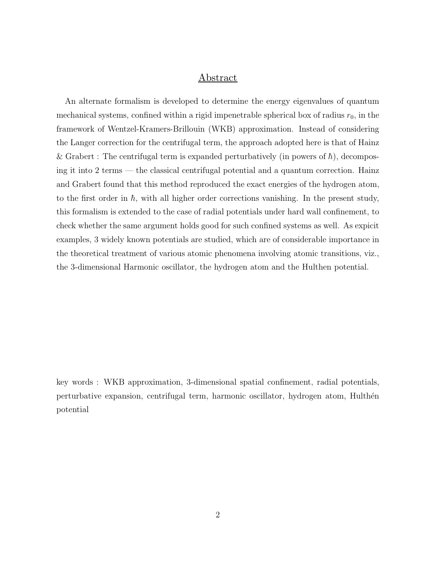## Abstract

An alternate formalism is developed to determine the energy eigenvalues of quantum mechanical systems, confined within a rigid impenetrable spherical box of radius  $r_0$ , in the framework of Wentzel-Kramers-Brillouin (WKB) approximation. Instead of considering the Langer correction for the centrifugal term, the approach adopted here is that of Hainz & Grabert : The centrifugal term is expanded perturbatively (in powers of  $\hbar$ ), decomposing it into 2 terms — the classical centrifugal potential and a quantum correction. Hainz and Grabert found that this method reproduced the exact energies of the hydrogen atom, to the first order in  $\hbar$ , with all higher order corrections vanishing. In the present study, this formalism is extended to the case of radial potentials under hard wall confinement, to check whether the same argument holds good for such confined systems as well. As expicit examples, 3 widely known potentials are studied, which are of considerable importance in the theoretical treatment of various atomic phenomena involving atomic transitions, viz., the 3-dimensional Harmonic oscillator, the hydrogen atom and the Hulthen potential.

key words : WKB approximation, 3-dimensional spatial confinement, radial potentials, perturbative expansion, centrifugal term, harmonic oscillator, hydrogen atom, Hulthén potential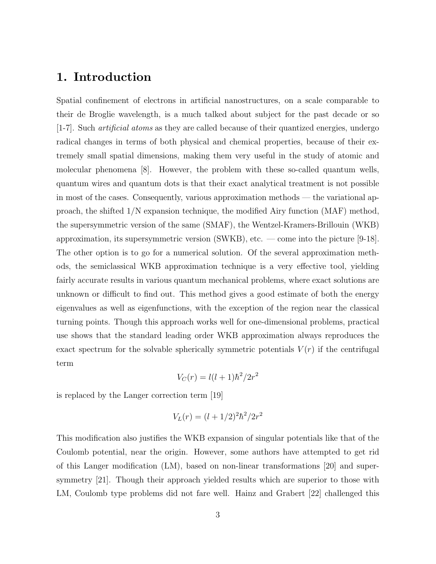## 1. Introduction

Spatial confinement of electrons in artificial nanostructures, on a scale comparable to their de Broglie wavelength, is a much talked about subject for the past decade or so [1-7]. Such artificial atoms as they are called because of their quantized energies, undergo radical changes in terms of both physical and chemical properties, because of their extremely small spatial dimensions, making them very useful in the study of atomic and molecular phenomena [8]. However, the problem with these so-called quantum wells, quantum wires and quantum dots is that their exact analytical treatment is not possible in most of the cases. Consequently, various approximation methods — the variational approach, the shifted 1/N expansion technique, the modified Airy function (MAF) method, the supersymmetric version of the same (SMAF), the Wentzel-Kramers-Brillouin (WKB) approximation, its supersymmetric version (SWKB), etc. — come into the picture [9-18]. The other option is to go for a numerical solution. Of the several approximation methods, the semiclassical WKB approximation technique is a very effective tool, yielding fairly accurate results in various quantum mechanical problems, where exact solutions are unknown or difficult to find out. This method gives a good estimate of both the energy eigenvalues as well as eigenfunctions, with the exception of the region near the classical turning points. Though this approach works well for one-dimensional problems, practical use shows that the standard leading order WKB approximation always reproduces the exact spectrum for the solvable spherically symmetric potentials  $V(r)$  if the centrifugal term

$$
V_C(r) = l(l+1)\hbar^2/2r^2
$$

is replaced by the Langer correction term [19]

$$
V_L(r) = (l + 1/2)^2 \hbar^2 / 2r^2
$$

This modification also justifies the WKB expansion of singular potentials like that of the Coulomb potential, near the origin. However, some authors have attempted to get rid of this Langer modification (LM), based on non-linear transformations [20] and supersymmetry [21]. Though their approach yielded results which are superior to those with LM, Coulomb type problems did not fare well. Hainz and Grabert [22] challenged this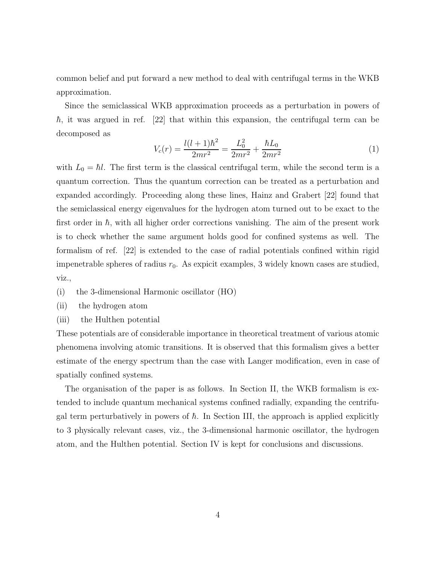common belief and put forward a new method to deal with centrifugal terms in the WKB approximation.

Since the semiclassical WKB approximation proceeds as a perturbation in powers of  $\hbar$ , it was argued in ref. [22] that within this expansion, the centrifugal term can be decomposed as

$$
V_c(r) = \frac{l(l+1)\hbar^2}{2mr^2} = \frac{L_0^2}{2mr^2} + \frac{\hbar L_0}{2mr^2}
$$
 (1)

with  $L_0 = \hbar l$ . The first term is the classical centrifugal term, while the second term is a quantum correction. Thus the quantum correction can be treated as a perturbation and expanded accordingly. Proceeding along these lines, Hainz and Grabert [22] found that the semiclassical energy eigenvalues for the hydrogen atom turned out to be exact to the first order in  $\hbar$ , with all higher order corrections vanishing. The aim of the present work is to check whether the same argument holds good for confined systems as well. The formalism of ref. [22] is extended to the case of radial potentials confined within rigid impenetrable spheres of radius  $r_0$ . As expicit examples, 3 widely known cases are studied, viz.,

- (i) the 3-dimensional Harmonic oscillator (HO)
- (ii) the hydrogen atom
- (iii) the Hulthen potential

These potentials are of considerable importance in theoretical treatment of various atomic phenomena involving atomic transitions. It is observed that this formalism gives a better estimate of the energy spectrum than the case with Langer modification, even in case of spatially confined systems.

The organisation of the paper is as follows. In Section II, the WKB formalism is extended to include quantum mechanical systems confined radially, expanding the centrifugal term perturbatively in powers of  $\hbar$ . In Section III, the approach is applied explicitly to 3 physically relevant cases, viz., the 3-dimensional harmonic oscillator, the hydrogen atom, and the Hulthen potential. Section IV is kept for conclusions and discussions.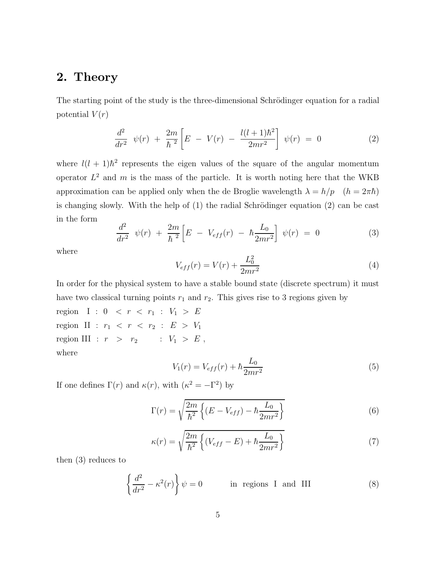## 2. Theory

The starting point of the study is the three-dimensional Schrödinger equation for a radial potential  $V(r)$ 

$$
\frac{d^2}{dr^2} \psi(r) + \frac{2m}{\hbar^2} \left[ E - V(r) - \frac{l(l+1)\hbar^2}{2mr^2} \right] \psi(r) = 0 \tag{2}
$$

where  $l(l + 1)\hbar^2$  represents the eigen values of the square of the angular momentum operator  $L^2$  and m is the mass of the particle. It is worth noting here that the WKB approximation can be applied only when the de Broglie wavelength  $\lambda = h/p \quad (h = 2\pi\hbar)$ is changing slowly. With the help of  $(1)$  the radial Schrödinger equation  $(2)$  can be cast in the form

$$
\frac{d^2}{dr^2} \psi(r) + \frac{2m}{\hbar^2} \left[ E - V_{eff}(r) - \hbar \frac{L_0}{2mr^2} \right] \psi(r) = 0 \tag{3}
$$

where

$$
V_{eff}(r) = V(r) + \frac{L_0^2}{2mr^2}
$$
\n(4)

In order for the physical system to have a stable bound state (discrete spectrum) it must have two classical turning points  $r_1$  and  $r_2$ . This gives rise to 3 regions given by

region I :  $0 \leq r \leq r_1 : V_1 > E$ region II :  $r_1 \, < \, r \, < \, r_2 \, : \, E \, > \, V_1$ region III :  $r > r_2$  :  $V_1 > E$ , where

$$
V_1(r) = V_{eff}(r) + \hbar \frac{L_0}{2mr^2}
$$
\n(5)

If one defines  $\Gamma(r)$  and  $\kappa(r)$ , with  $(\kappa^2 = -\Gamma^2)$  by

$$
\Gamma(r) = \sqrt{\frac{2m}{\hbar^2} \left\{ (E - V_{eff}) - \hbar \frac{L_0}{2mr^2} \right\}}
$$
(6)

$$
\kappa(r) = \sqrt{\frac{2m}{\hbar^2} \left\{ (V_{eff} - E) + \hbar \frac{L_0}{2mr^2} \right\}}\tag{7}
$$

then (3) reduces to

$$
\left\{\frac{d^2}{dr^2} - \kappa^2(r)\right\}\psi = 0
$$
 in regions I and III (8)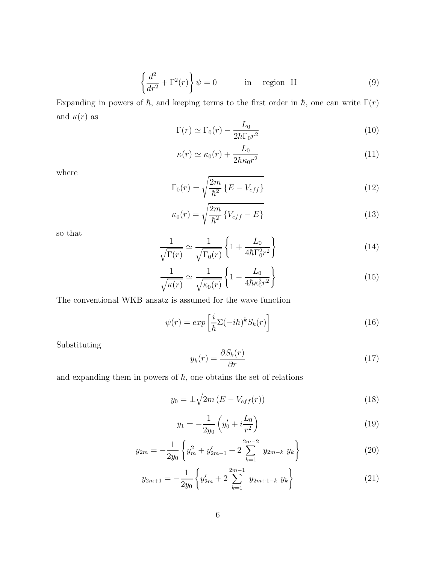$$
\left\{\frac{d^2}{dr^2} + \Gamma^2(r)\right\}\psi = 0 \qquad \text{in region II} \qquad (9)
$$

Expanding in powers of  $\hbar$ , and keeping terms to the first order in  $\hbar$ , one can write  $\Gamma(r)$ and  $\kappa(r)$  as

$$
\Gamma(r) \simeq \Gamma_0(r) - \frac{L_0}{2\hbar \Gamma_0 r^2} \tag{10}
$$

$$
\kappa(r) \simeq \kappa_0(r) + \frac{L_0}{2\hbar \kappa_0 r^2} \tag{11}
$$

where

$$
\Gamma_0(r) = \sqrt{\frac{2m}{\hbar^2} \left\{ E - V_{eff} \right\}} \tag{12}
$$

$$
\kappa_0(r) = \sqrt{\frac{2m}{\hbar^2} \left\{ V_{eff} - E \right\}} \tag{13}
$$

so that

$$
\frac{1}{\sqrt{\Gamma(r)}} \simeq \frac{1}{\sqrt{\Gamma_0(r)}} \left\{ 1 + \frac{L_0}{4\hbar \Gamma_0^2 r^2} \right\} \tag{14}
$$

$$
\frac{1}{\sqrt{\kappa(r)}} \simeq \frac{1}{\sqrt{\kappa_0(r)}} \left\{ 1 - \frac{L_0}{4\hbar \kappa_0^2 r^2} \right\} \tag{15}
$$

The conventional WKB ansatz is assumed for the wave function

$$
\psi(r) = exp\left[\frac{i}{\hbar} \Sigma(-i\hbar)^k S_k(r)\right]
$$
\n(16)

Substituting

$$
y_k(r) = \frac{\partial S_k(r)}{\partial r} \tag{17}
$$

and expanding them in powers of  $\hbar$ , one obtains the set of relations

$$
y_0 = \pm \sqrt{2m\left(E - V_{eff}(r)\right)}\tag{18}
$$

$$
y_1 = -\frac{1}{2y_0} \left( y_0' + i \frac{L_0}{r^2} \right) \tag{19}
$$

$$
y_{2m} = -\frac{1}{2y_0} \left\{ y_m^2 + y_{2m-1}' + 2 \sum_{k=1}^{2m-2} y_{2m-k} y_k \right\}
$$
 (20)

$$
y_{2m+1} = -\frac{1}{2y_0} \left\{ y'_{2m} + 2 \sum_{k=1}^{2m-1} y_{2m+1-k} y_k \right\}
$$
 (21)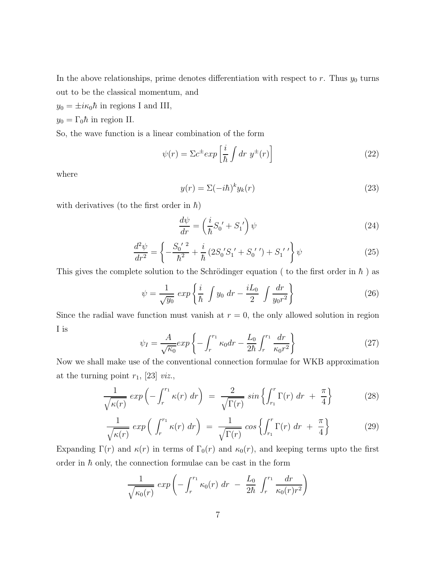In the above relationships, prime denotes differentiation with respect to  $r$ . Thus  $y_0$  turns out to be the classical momentum, and

 $y_0 = \pm i\kappa_0 \hbar$  in regions I and III,

$$
y_0 = \Gamma_0 \hbar
$$
 in region II.

So, the wave function is a linear combination of the form

$$
\psi(r) = \Sigma c^{\pm} exp\left[\frac{i}{\hbar} \int dr \ y^{\pm}(r)\right]
$$
\n(22)

where

$$
y(r) = \Sigma (-i\hbar)^k y_k(r)
$$
\n(23)

with derivatives (to the first order in  $\hbar$ )

$$
\frac{d\psi}{dr} = \left(\frac{i}{\hbar}S_0' + S_1'\right)\psi\tag{24}
$$

$$
\frac{d^2\psi}{dr^2} = \left\{-\frac{S_0^{\prime\ 2}}{\hbar^2} + \frac{i}{\hbar} \left(2S_0^{\prime} S_1^{\prime} + S_0^{\prime\prime}\right) + S_1^{\prime\prime}\right\}\psi\tag{25}
$$

This gives the complete solution to the Schrödinger equation ( to the first order in  $\hbar$  ) as

$$
\psi = \frac{1}{\sqrt{y_0}} \exp\left\{\frac{i}{\hbar} \int y_0 \, dr - \frac{iL_0}{2} \int \frac{dr}{y_0 r^2}\right\} \tag{26}
$$

Since the radial wave function must vanish at  $r = 0$ , the only allowed solution in region I is

$$
\psi_I = \frac{A}{\sqrt{\kappa_0}} \exp\left\{-\int_r^{r_1} \kappa_0 dr - \frac{L_0}{2\hbar} \int_r^{r_1} \frac{dr}{\kappa_0 r^2}\right\} \tag{27}
$$

Now we shall make use of the conventional connection formulae for WKB approximation at the turning point  $r_1$ , [23] *viz.*,

$$
\frac{1}{\sqrt{\kappa(r)}} \exp\left(-\int_r^{r_1} \kappa(r) \, dr\right) \ = \ \frac{2}{\sqrt{\Gamma(r)}} \sin\left\{\int_{r_1}^r \Gamma(r) \, dr \ + \ \frac{\pi}{4}\right\} \tag{28}
$$

$$
\frac{1}{\sqrt{\kappa(r)}} \exp\left(\int_r^{r_1} \kappa(r) dr\right) = \frac{1}{\sqrt{\Gamma(r)}} \cos\left\{\int_{r_1}^r \Gamma(r) dr + \frac{\pi}{4}\right\} \tag{29}
$$

Expanding  $\Gamma(r)$  and  $\kappa(r)$  in terms of  $\Gamma_0(r)$  and  $\kappa_0(r)$ , and keeping terms upto the first order in  $\hbar$  only, the connection formulae can be cast in the form

$$
\frac{1}{\sqrt{\kappa_0(r)}} \exp\left(-\int_r^{r_1} \kappa_0(r) dr - \frac{L_0}{2\hbar} \int_r^{r_1} \frac{dr}{\kappa_0(r)r^2}\right)
$$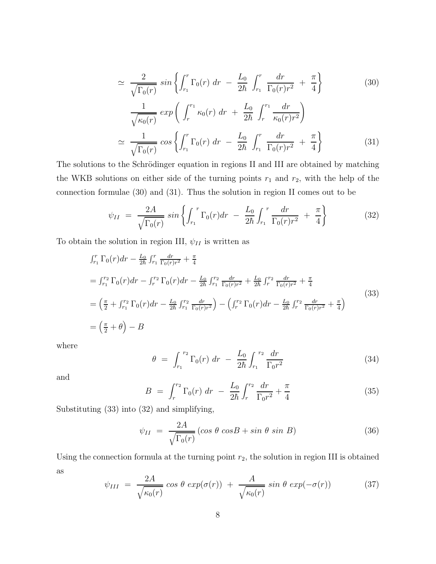$$
\simeq \frac{2}{\sqrt{\Gamma_0(r)}} \sin \left\{ \int_{r_1}^r \Gamma_0(r) \, dr - \frac{L_0}{2\hbar} \int_{r_1}^r \frac{dr}{\Gamma_0(r)r^2} + \frac{\pi}{4} \right\} \tag{30}
$$
\n
$$
\frac{1}{\sqrt{\kappa_0(r)}} \exp \left( \int_r^{r_1} \kappa_0(r) \, dr + \frac{L_0}{2\hbar} \int_r^{r_1} \frac{dr}{\kappa_0(r)r^2} \right)
$$
\n
$$
\simeq \frac{1}{\sqrt{\Gamma_0(r)}} \cos \left\{ \int_{r_1}^r \Gamma_0(r) \, dr - \frac{L_0}{2\hbar} \int_{r_1}^r \frac{dr}{\Gamma_0(r)r^2} + \frac{\pi}{4} \right\} \tag{31}
$$

The solutions to the Schrödinger equation in regions II and III are obtained by matching the WKB solutions on either side of the turning points  $r_1$  and  $r_2$ , with the help of the connection formulae (30) and (31). Thus the solution in region II comes out to be

$$
\psi_{II} = \frac{2A}{\sqrt{\Gamma_0(r)}} \sin \left\{ \int_{r_1}^r \Gamma_0(r) dr - \frac{L_0}{2\hbar} \int_{r_1}^r \frac{dr}{\Gamma_0(r) r^2} + \frac{\pi}{4} \right\} \tag{32}
$$

To obtain the solution in region III,  $\psi_{II}$  is written as

$$
\begin{split}\n&\int_{r_1}^r \Gamma_0(r) dr - \frac{L_0}{2\hbar} \int_{r_1}^r \frac{dr}{\Gamma_0(r)r^2} + \frac{\pi}{4} \\
&= \int_{r_1}^{r_2} \Gamma_0(r) dr - \int_r^{r_2} \Gamma_0(r) dr - \frac{L_0}{2\hbar} \int_{r_1}^{r_2} \frac{dr}{\Gamma_0(r)r^2} + \frac{L_0}{2\hbar} \int_r^{r_2} \frac{dr}{\Gamma_0(r)r^2} + \frac{\pi}{4} \\
&= \left(\frac{\pi}{2} + \int_{r_1}^{r_2} \Gamma_0(r) dr - \frac{L_0}{2\hbar} \int_{r_1}^{r_2} \frac{dr}{\Gamma_0(r)r^2}\right) - \left(\int_r^{r_2} \Gamma_0(r) dr - \frac{L_0}{2\hbar} \int_r^{r_2} \frac{dr}{\Gamma_0(r)r^2} + \frac{\pi}{4}\right)\n\end{split} \tag{33}
$$
\n
$$
= \left(\frac{\pi}{2} + \theta\right) - B
$$

where

$$
\theta = \int_{r_1}^{r_2} \Gamma_0(r) \, dr - \frac{L_0}{2\hbar} \int_{r_1}^{r_2} \frac{dr}{\Gamma_0 r^2} \tag{34}
$$

and

$$
B = \int_{r}^{r_2} \Gamma_0(r) \, dr - \frac{L_0}{2\hbar} \int_{r}^{r_2} \frac{dr}{\Gamma_0 r^2} + \frac{\pi}{4} \tag{35}
$$

Substituting (33) into (32) and simplifying,

$$
\psi_{II} = \frac{2A}{\sqrt{\Gamma_0(r)}} (\cos \theta \cos B + \sin \theta \sin B) \tag{36}
$$

Using the connection formula at the turning point  $r_2$ , the solution in region III is obtained as

$$
\psi_{III} = \frac{2A}{\sqrt{\kappa_0(r)}} \cos \theta \exp(\sigma(r)) + \frac{A}{\sqrt{\kappa_0(r)}} \sin \theta \exp(-\sigma(r)) \tag{37}
$$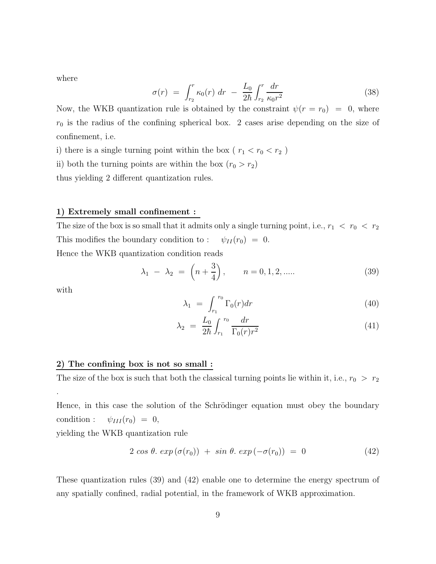where

$$
\sigma(r) = \int_{r_2}^r \kappa_0(r) \, dr - \frac{L_0}{2\hbar} \int_{r_2}^r \frac{dr}{\kappa_0 r^2} \tag{38}
$$

Now, the WKB quantization rule is obtained by the constraint  $\psi(r = r_0) = 0$ , where  $r_0$  is the radius of the confining spherical box. 2 cases arise depending on the size of confinement, i.e.

i) there is a single turning point within the box (  $r_1 < r_0 < r_2$  )

ii) both the turning points are within the box  $(r_0 > r_2)$ 

thus yielding 2 different quantization rules.

#### 1) Extremely small confinement :

The size of the box is so small that it admits only a single turning point, i.e.,  $r_1 < r_0 < r_2$ This modifies the boundary condition to :  $\psi_{II}(r_0) = 0$ .

Hence the WKB quantization condition reads

$$
\lambda_1 - \lambda_2 = \left(n + \frac{3}{4}\right), \qquad n = 0, 1, 2, \dots
$$
 (39)

with

.

$$
\lambda_1 = \int_{r_1}^{r_0} \Gamma_0(r) dr \tag{40}
$$

$$
\lambda_2 = \frac{L_0}{2\hbar} \int_{r_1}^{r_0} \frac{dr}{\Gamma_0(r)r^2} \tag{41}
$$

#### 2) The confining box is not so small :

The size of the box is such that both the classical turning points lie within it, i.e.,  $r_0 > r_2$ 

Hence, in this case the solution of the Schrödinger equation must obey the boundary condition :  $\psi_{III}(r_0) = 0$ ,

yielding the WKB quantization rule

$$
2 \cos \theta. \exp(\sigma(r_0)) + \sin \theta. \exp(-\sigma(r_0)) = 0 \qquad (42)
$$

These quantization rules (39) and (42) enable one to determine the energy spectrum of any spatially confined, radial potential, in the framework of WKB approximation.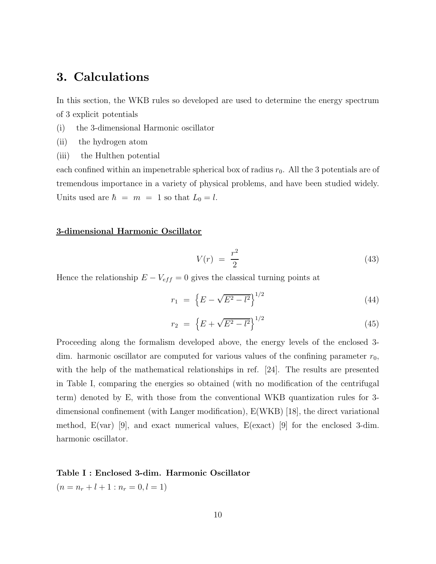# 3. Calculations

In this section, the WKB rules so developed are used to determine the energy spectrum of 3 explicit potentials

- (i) the 3-dimensional Harmonic oscillator
- (ii) the hydrogen atom
- (iii) the Hulthen potential

each confined within an impenetrable spherical box of radius  $r_0$ . All the 3 potentials are of tremendous importance in a variety of physical problems, and have been studied widely. Units used are  $\hbar = m = 1$  so that  $L_0 = l$ .

#### 3-dimensional Harmonic Oscillator

$$
V(r) = \frac{r^2}{2} \tag{43}
$$

Hence the relationship  $E - V_{eff} = 0$  gives the classical turning points at

$$
r_1 = \left\{ E - \sqrt{E^2 - l^2} \right\}^{1/2} \tag{44}
$$

$$
r_2 = \left\{ E + \sqrt{E^2 - l^2} \right\}^{1/2} \tag{45}
$$

Proceeding along the formalism developed above, the energy levels of the enclosed 3 dim. harmonic oscillator are computed for various values of the confining parameter  $r_0$ , with the help of the mathematical relationships in ref. [24]. The results are presented in Table I, comparing the energies so obtained (with no modification of the centrifugal term) denoted by E, with those from the conventional WKB quantization rules for 3 dimensional confinement (with Langer modification), E(WKB) [18], the direct variational method, E(var) [9], and exact numerical values, E(exact) [9] for the enclosed 3-dim. harmonic oscillator.

#### Table I : Enclosed 3-dim. Harmonic Oscillator

 $(n = n_r + l + 1 : n_r = 0, l = 1)$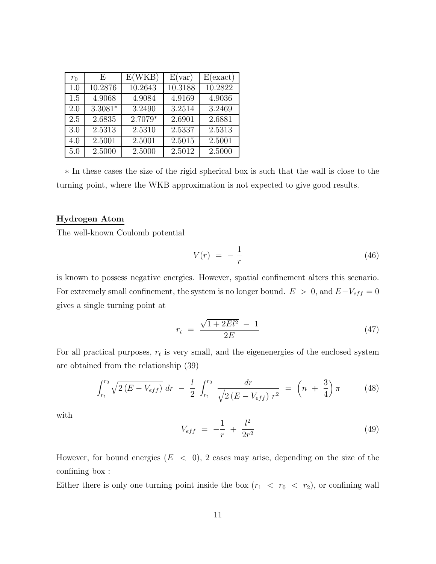| $r_0$ | E         | E(WKB)  | E(var)  | E(exact) |
|-------|-----------|---------|---------|----------|
| 1.0   | 10.2876   | 10.2643 | 10.3188 | 10.2822  |
| 1.5   | 4.9068    | 4.9084  | 4.9169  | 4.9036   |
| 2.0   | $3.3081*$ | 3.2490  | 3.2514  | 3.2469   |
| 2.5   | 2.6835    | 2.7079* | 2.6901  | 2.6881   |
| 3.0   | 2.5313    | 2.5310  | 2.5337  | 2.5313   |
| 4.0   | 2.5001    | 2.5001  | 2.5015  | 2.5001   |
| 5.0   | 2.5000    | 2.5000  | 2.5012  | 2.5000   |

∗ In these cases the size of the rigid spherical box is such that the wall is close to the turning point, where the WKB approximation is not expected to give good results.

#### Hydrogen Atom

The well-known Coulomb potential

$$
V(r) = -\frac{1}{r} \tag{46}
$$

is known to possess negative energies. However, spatial confinement alters this scenario. For extremely small confinement, the system is no longer bound.  $E > 0$ , and  $E-V_{eff} = 0$ gives a single turning point at

$$
r_t = \frac{\sqrt{1 + 2El^2} - 1}{2E} \tag{47}
$$

For all practical purposes,  $r_t$  is very small, and the eigenenergies of the enclosed system are obtained from the relationship (39)

$$
\int_{r_t}^{r_0} \sqrt{2(E - V_{eff})} \, dr \ - \ \frac{l}{2} \int_{r_t}^{r_0} \frac{dr}{\sqrt{2(E - V_{eff})} \, r^2} \ = \ \left(n \ + \ \frac{3}{4}\right)\pi \tag{48}
$$

with

$$
V_{eff} = -\frac{1}{r} + \frac{l^2}{2r^2} \tag{49}
$$

However, for bound energies  $(E < 0)$ , 2 cases may arise, depending on the size of the confining box :

Either there is only one turning point inside the box  $(r_1 < r_0 < r_2)$ , or confining wall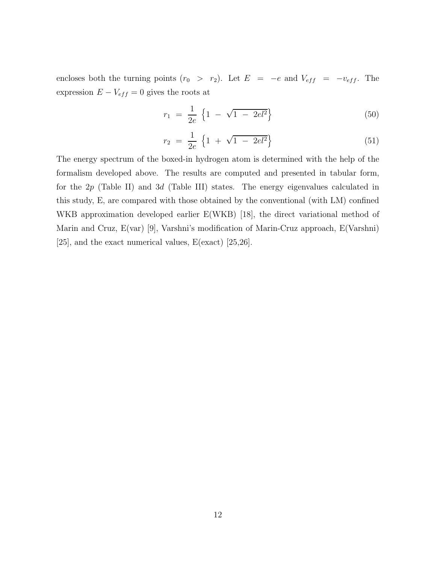encloses both the turning points  $(r_0 > r_2)$ . Let  $E = -e$  and  $V_{eff} = -v_{eff}$ . The expression  $E - V_{eff} = 0$  gives the roots at

$$
r_1 = \frac{1}{2e} \left\{ 1 - \sqrt{1 - 2el^2} \right\} \tag{50}
$$

$$
r_2 = \frac{1}{2e} \left\{ 1 + \sqrt{1 - 2el^2} \right\} \tag{51}
$$

The energy spectrum of the boxed-in hydrogen atom is determined with the help of the formalism developed above. The results are computed and presented in tabular form, for the  $2p$  (Table II) and 3d (Table III) states. The energy eigenvalues calculated in this study, E, are compared with those obtained by the conventional (with LM) confined WKB approximation developed earlier E(WKB) [18], the direct variational method of Marin and Cruz, E(var) [9], Varshni's modification of Marin-Cruz approach, E(Varshni) [25], and the exact numerical values, E(exact) [25,26].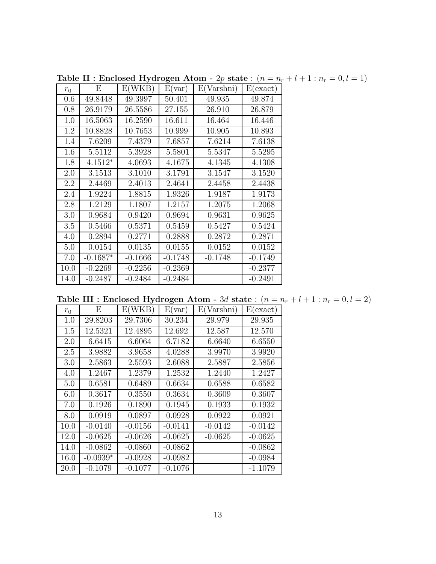| $r_0$ | Е          | E(WKB)    | E(var)    | E(Varshni) | E(exact)  |
|-------|------------|-----------|-----------|------------|-----------|
| 0.6   | 49.8448    | 49.3997   | 50.401    | 49.935     | 49.874    |
| 0.8   | 26.9179    | 26.5586   | 27.155    | 26.910     | 26.879    |
| 1.0   | 16.5063    | 16.2590   | 16.611    | 16.464     | 16.446    |
| 1.2   | 10.8828    | 10.7653   | 10.999    | 10.905     | 10.893    |
| 1.4   | 7.6209     | 7.4379    | 7.6857    | 7.6214     | 7.6138    |
| 1.6   | 5.5112     | 5.3928    | 5.5801    | 5.5347     | 5.5295    |
| 1.8   | $4.1512*$  | 4.0693    | 4.1675    | 4.1345     | 4.1308    |
| 2.0   | 3.1513     | 3.1010    | 3.1791    | 3.1547     | 3.1520    |
| 2.2   | 2.4469     | 2.4013    | 2.4641    | 2.4458     | 2.4438    |
| 2.4   | 1.9224     | 1.8815    | 1.9326    | 1.9187     | 1.9173    |
| 2.8   | 1.2129     | 1.1807    | 1.2157    | 1.2075     | 1.2068    |
| 3.0   | 0.9684     | 0.9420    | 0.9694    | 0.9631     | 0.9625    |
| 3.5   | 0.5466     | 0.5371    | 0.5459    | 0.5427     | 0.5424    |
| 4.0   | 0.2894     | 0.2771    | 0.2888    | 0.2872     | 0.2871    |
| 5.0   | 0.0154     | 0.0135    | 0.0155    | 0.0152     | 0.0152    |
| 7.0   | $-0.1687*$ | $-0.1666$ | $-0.1748$ | $-0.1748$  | $-0.1749$ |
| 10.0  | $-0.2269$  | $-0.2256$ | $-0.2369$ |            | $-0.2377$ |
| 14.0  | $-0.2487$  | $-0.2484$ | $-0.2484$ |            | $-0.2491$ |

Table II : Enclosed Hydrogen Atom - 2p state :  $(n = n_r + l + 1 : n_r = 0, l = 1)$ 

Table III : Enclosed Hydrogen Atom - 3d state :  $(n = n_r + l + 1 : n_r = 0, l = 2)$ 

| $r_0$ | Ε          | E(WKB)    | E(var)    | E(Varshni) | E(exact)  |
|-------|------------|-----------|-----------|------------|-----------|
| 1.0   | 29.8203    | 29.7306   | 30.234    | 29.979     | 29.935    |
| 1.5   | 12.5321    | 12.4895   | 12.692    | 12.587     | 12.570    |
| 2.0   | 6.6415     | 6.6064    | 6.7182    | 6.6640     | 6.6550    |
| 2.5   | 3.9882     | 3.9658    | 4.0288    | 3.9970     | 3.9920    |
| 3.0   | 2.5863     | 2.5593    | 2.6088    | 2.5887     | 2.5856    |
| 4.0   | 1.2467     | 1.2379    | 1.2532    | 1.2440     | 1.2427    |
| 5.0   | 0.6581     | 0.6489    | 0.6634    | 0.6588     | 0.6582    |
| 6.0   | 0.3617     | 0.3550    | 0.3634    | 0.3609     | 0.3607    |
| 7.0   | 0.1926     | 0.1890    | 0.1945    | 0.1933     | 0.1932    |
| 8.0   | 0.0919     | 0.0897    | 0.0928    | 0.0922     | 0.0921    |
| 10.0  | $-0.0140$  | $-0.0156$ | $-0.0141$ | $-0.0142$  | $-0.0142$ |
| 12.0  | $-0.0625$  | $-0.0626$ | $-0.0625$ | $-0.0625$  | $-0.0625$ |
| 14.0  | $-0.0862$  | $-0.0860$ | $-0.0862$ |            | $-0.0862$ |
| 16.0  | $-0.0939*$ | $-0.0928$ | $-0.0982$ |            | $-0.0984$ |
| 20.0  | $-0.1079$  | $-0.1077$ | $-0.1076$ |            | $-1.1079$ |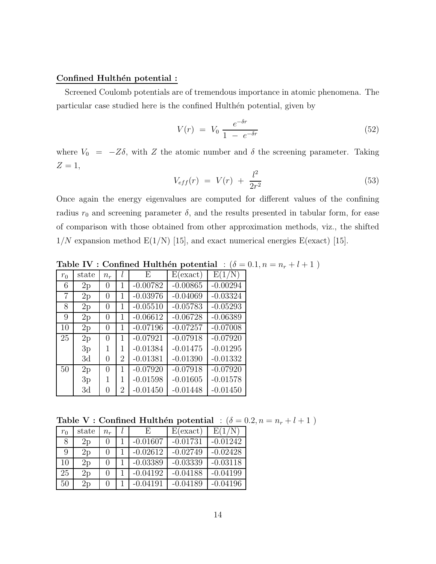#### Confined Hulthén potential :

Screened Coulomb potentials are of tremendous importance in atomic phenomena. The particular case studied here is the confined Hulthen potential, given by

$$
V(r) = V_0 \frac{e^{-\delta r}}{1 - e^{-\delta r}}
$$
\n
$$
(52)
$$

where  $V_0 = -Z\delta$ , with Z the atomic number and  $\delta$  the screening parameter. Taking  $Z=1,$ 

$$
V_{eff}(r) = V(r) + \frac{l^2}{2r^2}
$$
\n(53)

Once again the energy eigenvalues are computed for different values of the confining radius  $r_0$  and screening parameter  $\delta$ , and the results presented in tabular form, for ease of comparison with those obtained from other approximation methods, viz., the shifted  $1/N$  expansion method  $E(1/N)$  [15], and exact numerical energies  $E(exact)$  [15].

| $r_0$ | state | $n_r$            |                | E          | E(exact)   | $\mathrm{E}(1$ |
|-------|-------|------------------|----------------|------------|------------|----------------|
| 6     | 2p    | 0                | 1              | $-0.00782$ | $-0.00865$ | $-0.00294$     |
| 7     | 2p    | 0                | 1              | $-0.03976$ | $-0.04069$ | $-0.03324$     |
| 8     | 2p    | 0                | 1              | $-0.05510$ | $-0.05783$ | $-0.05293$     |
| 9     | 2p    | 0                | 1              | $-0.06612$ | $-0.06728$ | $-0.06389$     |
| 10    | 2p    | 0                | 1              | $-0.07196$ | $-0.07257$ | $-0.07008$     |
| 25    | 2p    | 0                | 1              | $-0.07921$ | $-0.07918$ | $-0.07920$     |
|       | 3p    | 1                | 1              | $-0.01384$ | $-0.01475$ | $-0.01295$     |
|       | 3d    | 0                | 2              | $-0.01381$ | $-0.01390$ | $-0.01332$     |
| 50    | 2p    | 0                | 1              | $-0.07920$ | $-0.07918$ | $-0.07920$     |
|       | 3p    | 1                | 1              | $-0.01598$ | $-0.01605$ | $-0.01578$     |
|       | 3d    | $\left( \right)$ | $\overline{2}$ | $-0.01450$ | $-0.01448$ | $-0.01450$     |

Table IV : Confined Hulthén potential : ( $\delta = 0.1, n = n_r + l + 1$ )

Table V : Confined Hulthén potential :  $(\delta = 0.2, n = n_r + l + 1)$ 

| $r_0$ | state | $n_{\bm r}$       |  | E.         | E(exact)   | E(1/N)     |
|-------|-------|-------------------|--|------------|------------|------------|
| 8     | 2p    |                   |  | $-0.01607$ | $-0.01731$ | $-0.01242$ |
| 9     | 2p    |                   |  | $-0.02612$ | $-0.02749$ | $-0.02428$ |
| 10    | 2p    |                   |  | $-0.03389$ | $-0.03339$ | $-0.03118$ |
| 25    | 2p    | $\mathbf{\Omega}$ |  | $-0.04192$ | $-0.04188$ | $-0.04199$ |
| 50    | 2p    | $\left( \right)$  |  | $-0.04191$ | $-0.04189$ | $-0.04196$ |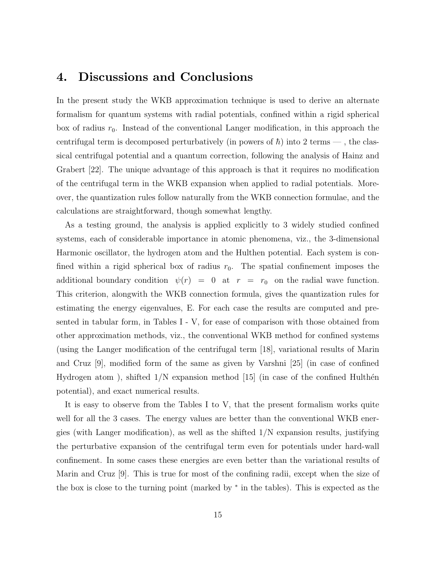# 4. Discussions and Conclusions

In the present study the WKB approximation technique is used to derive an alternate formalism for quantum systems with radial potentials, confined within a rigid spherical box of radius  $r_0$ . Instead of the conventional Langer modification, in this approach the centrifugal term is decomposed perturbatively (in powers of  $\hbar$ ) into 2 terms —, the classical centrifugal potential and a quantum correction, following the analysis of Hainz and Grabert [22]. The unique advantage of this approach is that it requires no modification of the centrifugal term in the WKB expansion when applied to radial potentials. Moreover, the quantization rules follow naturally from the WKB connection formulae, and the calculations are straightforward, though somewhat lengthy.

As a testing ground, the analysis is applied explicitly to 3 widely studied confined systems, each of considerable importance in atomic phenomena, viz., the 3-dimensional Harmonic oscillator, the hydrogen atom and the Hulthen potential. Each system is confined within a rigid spherical box of radius  $r_0$ . The spatial confinement imposes the additional boundary condition  $\psi(r) = 0$  at  $r = r_0$  on the radial wave function. This criterion, alongwith the WKB connection formula, gives the quantization rules for estimating the energy eigenvalues, E. For each case the results are computed and presented in tabular form, in Tables I - V, for ease of comparison with those obtained from other approximation methods, viz., the conventional WKB method for confined systems (using the Langer modification of the centrifugal term [18], variational results of Marin and Cruz [9], modified form of the same as given by Varshni [25] (in case of confined Hydrogen atom), shifted  $1/N$  expansion method [15] (in case of the confined Hulthen potential), and exact numerical results.

It is easy to observe from the Tables I to V, that the present formalism works quite well for all the 3 cases. The energy values are better than the conventional WKB energies (with Langer modification), as well as the shifted 1/N expansion results, justifying the perturbative expansion of the centrifugal term even for potentials under hard-wall confinement. In some cases these energies are even better than the variational results of Marin and Cruz [9]. This is true for most of the confining radii, except when the size of the box is close to the turning point (marked by <sup>∗</sup> in the tables). This is expected as the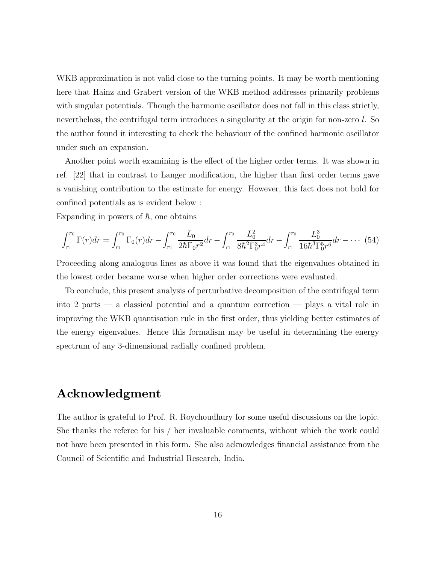WKB approximation is not valid close to the turning points. It may be worth mentioning here that Hainz and Grabert version of the WKB method addresses primarily problems with singular potentials. Though the harmonic oscillator does not fall in this class strictly, neverthelass, the centrifugal term introduces a singularity at the origin for non-zero l. So the author found it interesting to check the behaviour of the confined harmonic oscillator under such an expansion.

Another point worth examining is the effect of the higher order terms. It was shown in ref. [22] that in contrast to Langer modification, the higher than first order terms gave a vanishing contribution to the estimate for energy. However, this fact does not hold for confined potentials as is evident below :

Expanding in powers of  $\hbar$ , one obtains

$$
\int_{r_1}^{r_0} \Gamma(r) dr = \int_{r_1}^{r_0} \Gamma_0(r) dr - \int_{r_1}^{r_0} \frac{L_0}{2\hbar \Gamma_0 r^2} dr - \int_{r_1}^{r_0} \frac{L_0^2}{8\hbar^2 \Gamma_0^3 r^4} dr - \int_{r_1}^{r_0} \frac{L_0^3}{16\hbar^3 \Gamma_0^5 r^6} dr - \cdots (54)
$$

Proceeding along analogous lines as above it was found that the eigenvalues obtained in the lowest order became worse when higher order corrections were evaluated.

To conclude, this present analysis of perturbative decomposition of the centrifugal term into 2 parts — a classical potential and a quantum correction — plays a vital role in improving the WKB quantisation rule in the first order, thus yielding better estimates of the energy eigenvalues. Hence this formalism may be useful in determining the energy spectrum of any 3-dimensional radially confined problem.

## Acknowledgment

The author is grateful to Prof. R. Roychoudhury for some useful discussions on the topic. She thanks the referee for his / her invaluable comments, without which the work could not have been presented in this form. She also acknowledges financial assistance from the Council of Scientific and Industrial Research, India.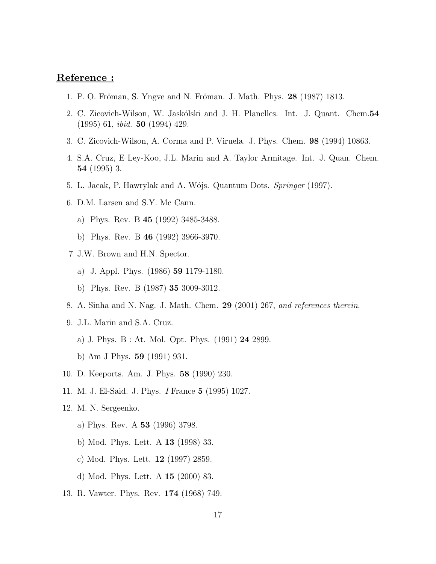### Reference :

- 1. P. O. Fröman, S. Yngve and N. Fröman. J. Math. Phys. **28** (1987) 1813.
- 2. C. Zicovich-Wilson, W. Jaskólski and J. H. Planelles. Int. J. Quant. Chem. 54 (1995) 61, ibid. 50 (1994) 429.
- 3. C. Zicovich-Wilson, A. Corma and P. Viruela. J. Phys. Chem. 98 (1994) 10863.
- 4. S.A. Cruz, E Ley-Koo, J.L. Marin and A. Taylor Armitage. Int. J. Quan. Chem. 54 (1995) 3.
- 5. L. Jacak, P. Hawrylak and A. Wójs. Quantum Dots. Springer (1997).
- 6. D.M. Larsen and S.Y. Mc Cann.
	- a) Phys. Rev. B 45 (1992) 3485-3488.
	- b) Phys. Rev. B 46 (1992) 3966-3970.
- 7 J.W. Brown and H.N. Spector.
	- a) J. Appl. Phys. (1986) 59 1179-1180.
	- b) Phys. Rev. B (1987) 35 3009-3012.
- 8. A. Sinha and N. Nag. J. Math. Chem. 29 (2001) 267, and references therein.
- 9. J.L. Marin and S.A. Cruz.
	- a) J. Phys. B : At. Mol. Opt. Phys. (1991) 24 2899.
	- b) Am J Phys. 59 (1991) 931.
- 10. D. Keeports. Am. J. Phys. 58 (1990) 230.
- 11. M. J. El-Said. J. Phys. I France 5 (1995) 1027.
- 12. M. N. Sergeenko.
	- a) Phys. Rev. A 53 (1996) 3798.
	- b) Mod. Phys. Lett. A 13 (1998) 33.
	- c) Mod. Phys. Lett. 12 (1997) 2859.
	- d) Mod. Phys. Lett. A 15 (2000) 83.
- 13. R. Vawter. Phys. Rev. 174 (1968) 749.